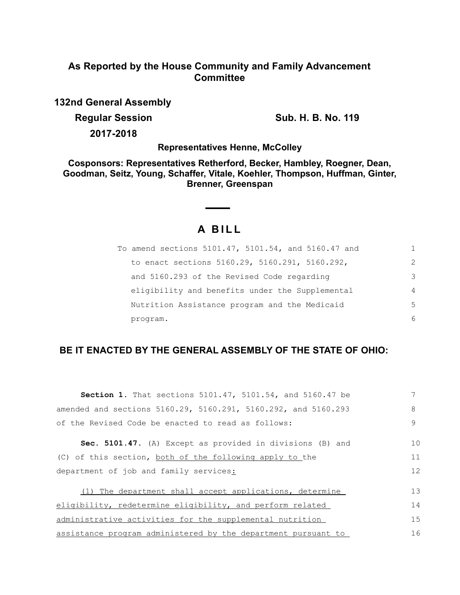## **As Reported by the House Community and Family Advancement Committee**

**132nd General Assembly**

**Regular Session Sub. H. B. No. 119** 

**2017-2018**

**Representatives Henne, McColley**

**Cosponsors: Representatives Retherford, Becker, Hambley, Roegner, Dean, Goodman, Seitz, Young, Schaffer, Vitale, Koehler, Thompson, Huffman, Ginter, Brenner, Greenspan**

# **A BILL**

| To amend sections 5101.47, 5101.54, and 5160.47 and |                |
|-----------------------------------------------------|----------------|
| to enact sections 5160.29, 5160.291, 5160.292,      | $\mathcal{L}$  |
| and 5160.293 of the Revised Code regarding          | 3              |
| eligibility and benefits under the Supplemental     | $\overline{4}$ |
| Nutrition Assistance program and the Medicaid       | 5              |
| program.                                            | 6              |

### **BE IT ENACTED BY THE GENERAL ASSEMBLY OF THE STATE OF OHIO:**

| <b>Section 1.</b> That sections 5101.47, 5101.54, and 5160.47 be | 7  |
|------------------------------------------------------------------|----|
| amended and sections 5160.29, 5160.291, 5160.292, and 5160.293   | 8  |
| of the Revised Code be enacted to read as follows:               | 9  |
| Sec. 5101.47. (A) Except as provided in divisions (B) and        | 10 |
| (C) of this section, both of the following apply to the          | 11 |
| department of job and family services:                           | 12 |
| (1) The department shall accept applications, determine          | 13 |
| eligibility, redetermine eligibility, and perform related        | 14 |
| administrative activities for the supplemental nutrition         | 15 |
| assistance program administered by the department pursuant to    | 16 |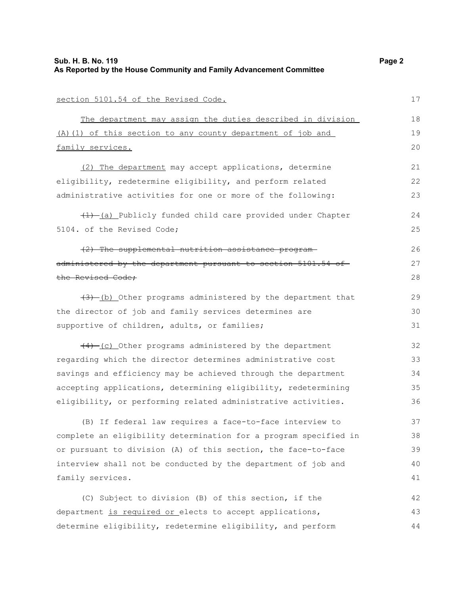| section 5101.54 of the Revised Code.                             | 17 |
|------------------------------------------------------------------|----|
| The department may assign the duties described in division       | 18 |
| (A) (1) of this section to any county department of job and      | 19 |
| family services.                                                 | 20 |
| (2) The department may accept applications, determine            | 21 |
| eligibility, redetermine eligibility, and perform related        | 22 |
| administrative activities for one or more of the following:      | 23 |
| (1) (a) Publicly funded child care provided under Chapter        | 24 |
| 5104. of the Revised Code;                                       | 25 |
| (2) The supplemental nutrition assistance program-               | 26 |
| administered by the department pursuant to section 5101.54 of    | 27 |
| the Revised Code:                                                | 28 |
| $(3)$ (b) Other programs administered by the department that     | 29 |
| the director of job and family services determines are           | 30 |
| supportive of children, adults, or families;                     | 31 |
| (4) (c) Other programs administered by the department            | 32 |
| regarding which the director determines administrative cost      | 33 |
| savings and efficiency may be achieved through the department    | 34 |
| accepting applications, determining eligibility, redetermining   | 35 |
| eligibility, or performing related administrative activities.    | 36 |
| (B) If federal law requires a face-to-face interview to          | 37 |
| complete an eligibility determination for a program specified in | 38 |
| or pursuant to division (A) of this section, the face-to-face    | 39 |
| interview shall not be conducted by the department of job and    | 40 |
| family services.                                                 | 41 |
| (C) Subject to division (B) of this section, if the              | 42 |
| department is required or elects to accept applications,         | 43 |
| determine eligibility, redetermine eligibility, and perform      | 44 |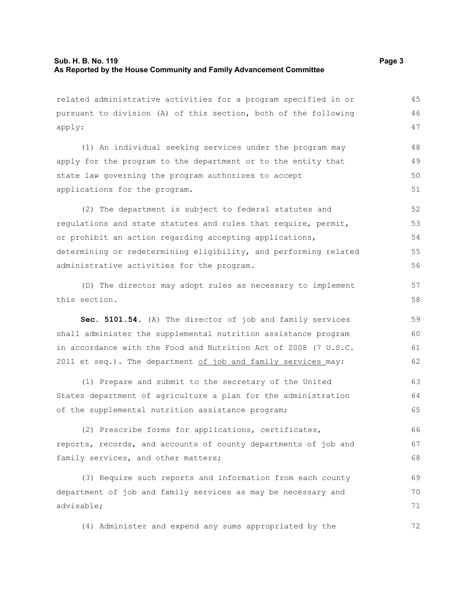related administrative activities for a program specified in or pursuant to division (A) of this section, both of the following apply: (1) An individual seeking services under the program may apply for the program to the department or to the entity that state law governing the program authorizes to accept applications for the program. (2) The department is subject to federal statutes and regulations and state statutes and rules that require, permit, or prohibit an action regarding accepting applications, determining or redetermining eligibility, and performing related administrative activities for the program. (D) The director may adopt rules as necessary to implement this section. **Sec. 5101.54.** (A) The director of job and family services shall administer the supplemental nutrition assistance program in accordance with the Food and Nutrition Act of 2008 (7 U.S.C. 2011 et seq.). The department  $of$  job and family services may: (1) Prepare and submit to the secretary of the United States department of agriculture a plan for the administration of the supplemental nutrition assistance program; (2) Prescribe forms for applications, certificates, reports, records, and accounts of county departments of job and family services, and other matters; (3) Require such reports and information from each county department of job and family services as may be necessary and advisable; (4) Administer and expend any sums appropriated by the 45 46 47 48 49 50 51 52 53 54 55 56 57 58 59 60 61 62 63 64 65 66 67 68 69 70 71 72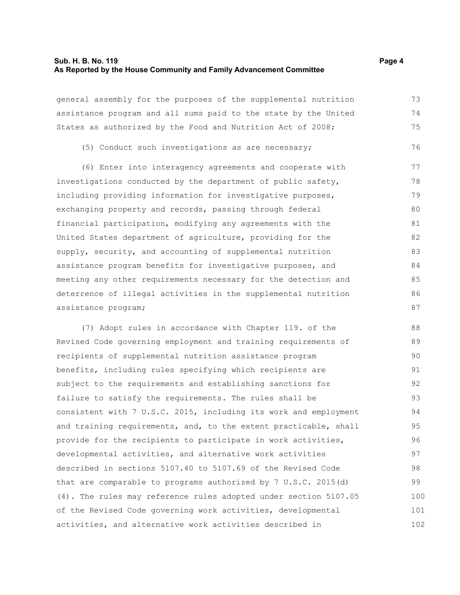#### **Sub. H. B. No. 119 Page 4 As Reported by the House Community and Family Advancement Committee**

general assembly for the purposes of the supplemental nutrition assistance program and all sums paid to the state by the United States as authorized by the Food and Nutrition Act of 2008;

(5) Conduct such investigations as are necessary;

(6) Enter into interagency agreements and cooperate with investigations conducted by the department of public safety, including providing information for investigative purposes, exchanging property and records, passing through federal financial participation, modifying any agreements with the United States department of agriculture, providing for the supply, security, and accounting of supplemental nutrition assistance program benefits for investigative purposes, and meeting any other requirements necessary for the detection and deterrence of illegal activities in the supplemental nutrition assistance program; 77 78 79 80 81 82 83 84 85 86 87

(7) Adopt rules in accordance with Chapter 119. of the Revised Code governing employment and training requirements of recipients of supplemental nutrition assistance program benefits, including rules specifying which recipients are subject to the requirements and establishing sanctions for failure to satisfy the requirements. The rules shall be consistent with 7 U.S.C. 2015, including its work and employment and training requirements, and, to the extent practicable, shall provide for the recipients to participate in work activities, developmental activities, and alternative work activities described in sections 5107.40 to 5107.69 of the Revised Code that are comparable to programs authorized by 7 U.S.C. 2015(d) (4). The rules may reference rules adopted under section 5107.05 of the Revised Code governing work activities, developmental activities, and alternative work activities described in 88 89 90 91 92 93 94 95 96 97 98 99 100 101 102

73 74 75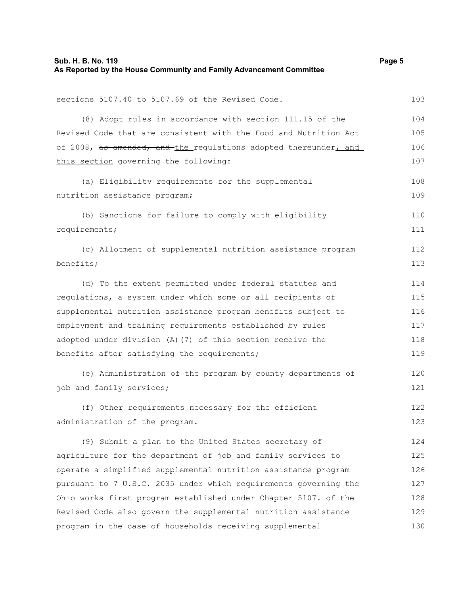requirements;

benefits;

sections 5107.40 to 5107.69 of the Revised Code. (8) Adopt rules in accordance with section 111.15 of the Revised Code that are consistent with the Food and Nutrition Act of 2008, as amended, and the regulations adopted thereunder, and this section governing the following: (a) Eligibility requirements for the supplemental nutrition assistance program; (b) Sanctions for failure to comply with eligibility (c) Allotment of supplemental nutrition assistance program 103 104 105 106 107 108 109 110 111 112 113

(d) To the extent permitted under federal statutes and regulations, a system under which some or all recipients of supplemental nutrition assistance program benefits subject to employment and training requirements established by rules adopted under division (A)(7) of this section receive the benefits after satisfying the requirements; 114 115 116 117 118 119

(e) Administration of the program by county departments of job and family services;

(f) Other requirements necessary for the efficient administration of the program. 122 123

(9) Submit a plan to the United States secretary of agriculture for the department of job and family services to operate a simplified supplemental nutrition assistance program pursuant to 7 U.S.C. 2035 under which requirements governing the Ohio works first program established under Chapter 5107. of the Revised Code also govern the supplemental nutrition assistance program in the case of households receiving supplemental 124 125 126 127 128 129 130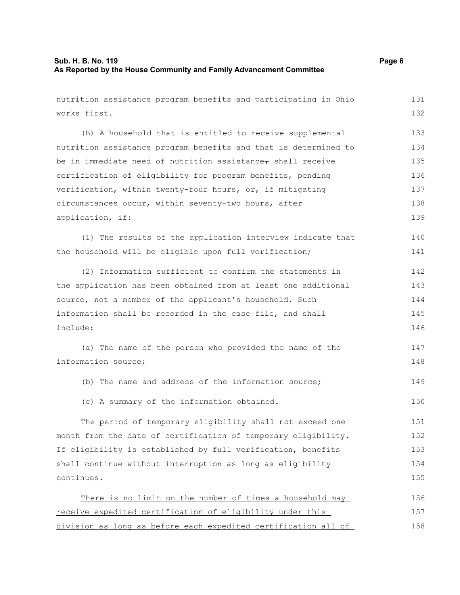nutrition assistance program benefits and participating in Ohio works first. (B) A household that is entitled to receive supplemental nutrition assistance program benefits and that is determined to be in immediate need of nutrition assistance $_{\tau}$  shall receive certification of eligibility for program benefits, pending verification, within twenty-four hours, or, if mitigating circumstances occur, within seventy-two hours, after application, if: (1) The results of the application interview indicate that the household will be eligible upon full verification; (2) Information sufficient to confirm the statements in the application has been obtained from at least one additional source, not a member of the applicant's household. Such information shall be recorded in the case file $_7$  and shall include: (a) The name of the person who provided the name of the information source; (b) The name and address of the information source; (c) A summary of the information obtained. The period of temporary eligibility shall not exceed one month from the date of certification of temporary eligibility. If eligibility is established by full verification, benefits shall continue without interruption as long as eligibility continues. There is no limit on the number of times a household may receive expedited certification of eligibility under this 131 132 133 134 135 136 137 138 139 140 141 142 143 144 145 146 147 148 149 150 151 152 153 154 155 156 157

division as long as before each expedited certification all of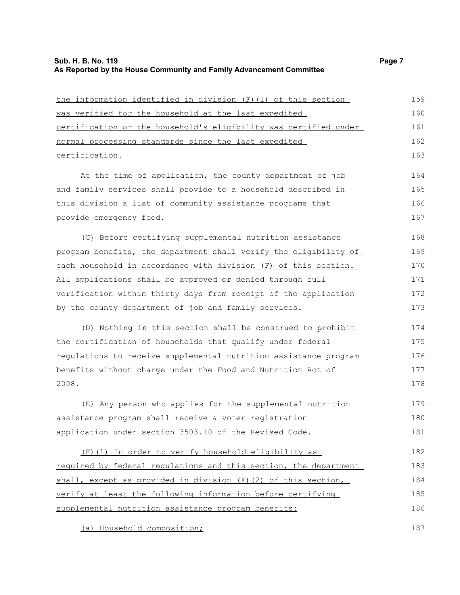#### **Sub. H. B. No. 119 Page 7 As Reported by the House Community and Family Advancement Committee**

| the information identified in division (F) (1) of this section   | 159 |
|------------------------------------------------------------------|-----|
| was verified for the household at the last expedited             | 160 |
| certification or the household's eligibility was certified under | 161 |
| normal processing standards since the last expedited             | 162 |
| certification.                                                   | 163 |
| At the time of application, the county department of job         | 164 |
| and family services shall provide to a household described in    | 165 |
| this division a list of community assistance programs that       | 166 |
| provide emergency food.                                          | 167 |
| (C) Before certifying supplemental nutrition assistance          | 168 |
| program benefits, the department shall verify the eligibility of | 169 |
| each household in accordance with division (F) of this section.  | 170 |
| All applications shall be approved or denied through full        | 171 |
| verification within thirty days from receipt of the application  | 172 |
| by the county department of job and family services.             | 173 |
| (D) Nothing in this section shall be construed to prohibit       | 174 |
| the certification of households that qualify under federal       | 175 |
| regulations to receive supplemental nutrition assistance program | 176 |
| benefits without charge under the Food and Nutrition Act of      | 177 |
| 2008.                                                            | 178 |
| (E) Any person who applies for the supplemental nutrition        | 179 |
| assistance program shall receive a voter registration            | 180 |
| application under section 3503.10 of the Revised Code.           | 181 |
| (F) (1) In order to verify household eligibility as              | 182 |
| required by federal regulations and this section, the department | 183 |
| shall, except as provided in division (F)(2) of this section,    | 184 |
| verify at least the following information before certifying      | 185 |
| supplemental nutrition assistance program benefits:              | 186 |

(a) Household composition;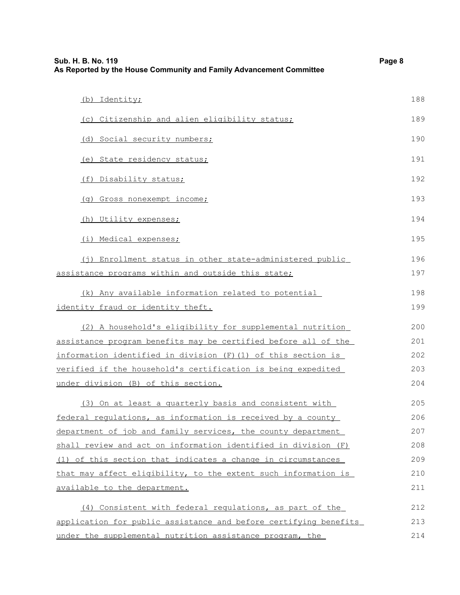| Page 8<br>Sub. H. B. No. 119<br>As Reported by the House Community and Family Advancement Committee |     |
|-----------------------------------------------------------------------------------------------------|-----|
| (b) Identity;                                                                                       | 188 |
| (c) Citizenship and alien eligibility status;                                                       | 189 |
| (d) Social security numbers;                                                                        | 190 |
| (e) State residency status;                                                                         | 191 |
| (f) Disability status;                                                                              | 192 |
| (q) Gross nonexempt income;                                                                         | 193 |
| (h) Utility expenses;                                                                               | 194 |
| (i) Medical expenses;                                                                               | 195 |
| (j) Enrollment status in other state-administered public                                            | 196 |
| assistance programs within and outside this state;                                                  | 197 |
| (k) Any available information related to potential                                                  | 198 |
| identity fraud or identity theft.                                                                   | 199 |
| (2) A household's eligibility for supplemental nutrition                                            | 200 |
| assistance program benefits may be certified before all of the                                      | 201 |
| information identified in division (F)(1) of this section is                                        | 202 |
| verified if the household's certification is being expedited                                        | 203 |
| under division (B) of this section.                                                                 | 204 |
| (3) On at least a quarterly basis and consistent with                                               | 205 |
| federal requlations, as information is received by a county                                         | 206 |
| department of job and family services, the county department                                        | 207 |
| shall review and act on information identified in division (F)                                      | 208 |
| (1) of this section that indicates a change in circumstances                                        | 209 |
| that may affect eligibility, to the extent such information is                                      | 210 |
| available to the department.                                                                        | 211 |
| (4) Consistent with federal regulations, as part of the                                             | 212 |
| application for public assistance and before certifying benefits                                    | 213 |
| under the supplemental nutrition assistance program, the                                            | 214 |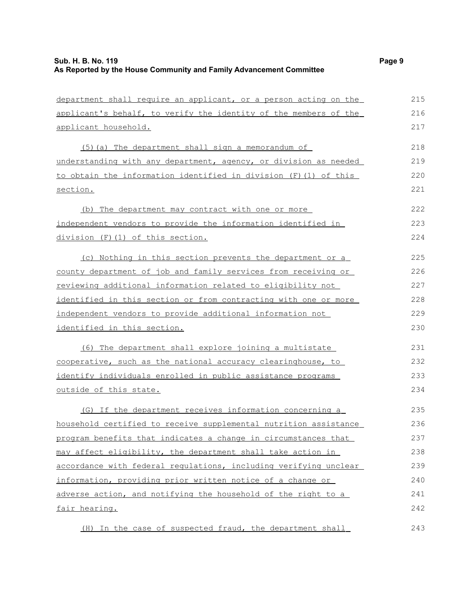| department shall require an applicant, or a person acting on the    | 215 |
|---------------------------------------------------------------------|-----|
| applicant's behalf, to verify the identity of the members of the    | 216 |
| applicant household.                                                | 217 |
| (5) (a) The department shall sign a memorandum of                   | 218 |
| understanding with any department, agency, or division as needed    | 219 |
| to obtain the information identified in division (F) (1) of this    | 220 |
| section.                                                            | 221 |
| (b) The department may contract with one or more                    | 222 |
| <u>independent vendors to provide the information identified in</u> | 223 |
| division (F)(1) of this section.                                    | 224 |
| (c) Nothing in this section prevents the department or a            | 225 |
| county department of job and family services from receiving or      | 226 |
| <u>reviewing additional information related to eligibility not</u>  | 227 |
| identified in this section or from contracting with one or more     | 228 |
| independent vendors to provide additional information not           | 229 |
| identified in this section.                                         | 230 |
| (6) The department shall explore joining a multistate               | 231 |
| cooperative, such as the national accuracy clearinghouse, to        | 232 |
| identify individuals enrolled in public assistance programs         | 233 |
| <u>outside of this state.</u>                                       | 234 |
| (G) If the department receives information concerning a             | 235 |
| household certified to receive supplemental nutrition assistance    | 236 |
| program benefits that indicates a change in circumstances that      | 237 |
| may affect eligibility, the department shall take action in         | 238 |
| accordance with federal regulations, including verifying unclear    | 239 |
| information, providing prior written notice of a change or          | 240 |
| adverse action, and notifying the household of the right to a       | 241 |
| fair hearing.                                                       | 242 |
|                                                                     |     |

 (H) In the case of suspected fraud, the department shall 243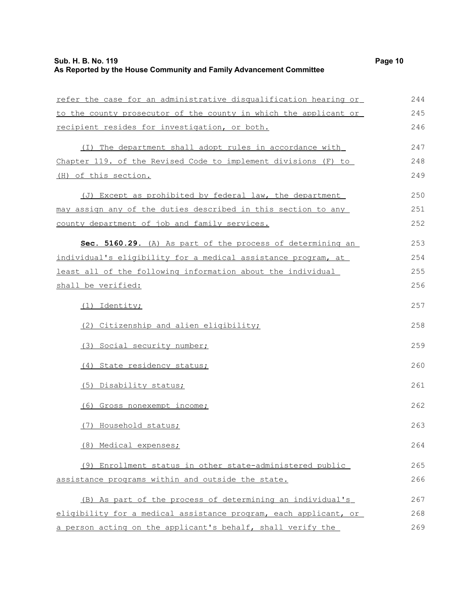| refer the case for an administrative disqualification hearing or | 244 |
|------------------------------------------------------------------|-----|
| to the county prosecutor of the county in which the applicant or | 245 |
| recipient resides for investigation, or both.                    | 246 |
| (I) The department shall adopt rules in accordance with          | 247 |
| Chapter 119. of the Revised Code to implement divisions (F) to   | 248 |
| (H) of this section.                                             | 249 |
| (J) Except as prohibited by federal law, the department          | 250 |
| may assign any of the duties described in this section to any    | 251 |
| county department of job and family services.                    | 252 |
| Sec. 5160.29. (A) As part of the process of determining an       | 253 |
| individual's eligibility for a medical assistance program, at    | 254 |
| least all of the following information about the individual      | 255 |
| shall be verified:                                               |     |
| (1) Identity;                                                    | 257 |
| (2) Citizenship and alien eligibility;                           | 258 |
| (3) Social security number;                                      | 259 |
| (4) State residency status;                                      | 260 |
| (5) Disability status;                                           | 261 |
| (6) Gross nonexempt income;                                      | 262 |
| (7) Household status;                                            | 263 |
| (8) Medical expenses;                                            | 264 |
| (9) Enrollment status in other state-administered public         | 265 |
| assistance programs within and outside the state.                | 266 |
| (B) As part of the process of determining an individual's        | 267 |
| eligibility for a medical assistance program, each applicant, or | 268 |
| a person acting on the applicant's behalf, shall verify the      | 269 |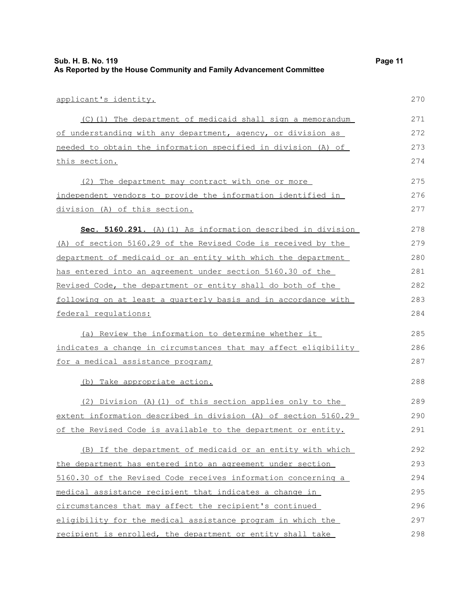| Sub. H. B. No. 119                                                  | Page 11 |
|---------------------------------------------------------------------|---------|
| As Reported by the House Community and Family Advancement Committee |         |

| applicant's identity.                                           | 270 |
|-----------------------------------------------------------------|-----|
| (C)(1) The department of medicaid shall sign a memorandum       | 271 |
| of understanding with any department, agency, or division as    | 272 |
| needed to obtain the information specified in division (A) of   | 273 |
| this section.                                                   | 274 |
| (2) The department may contract with one or more                | 275 |
| independent vendors to provide the information identified in    | 276 |
| division (A) of this section.                                   | 277 |
| Sec. 5160.291. (A) (1) As information described in division     | 278 |
| (A) of section 5160.29 of the Revised Code is received by the   | 279 |
| department of medicaid or an entity with which the department   | 280 |
| has entered into an agreement under section 5160.30 of the      | 281 |
| Revised Code, the department or entity shall do both of the     | 282 |
| following on at least a quarterly basis and in accordance with  | 283 |
| federal regulations:                                            | 284 |
| (a) Review the information to determine whether it              | 285 |
| indicates a change in circumstances that may affect eligibility | 286 |
| for a medical assistance program;                               | 287 |
| (b) Take appropriate action.                                    | 288 |
| (2) Division (A)(1) of this section applies only to the         | 289 |
| extent information described in division (A) of section 5160.29 | 290 |
| of the Revised Code is available to the department or entity.   | 291 |
| (B) If the department of medicaid or an entity with which       | 292 |
| the department has entered into an agreement under section      | 293 |
| 5160.30 of the Revised Code receives information concerning a   | 294 |
| medical assistance recipient that indicates a change in         | 295 |
| circumstances that may affect the recipient's continued         | 296 |
| eligibility for the medical assistance program in which the     | 297 |
| recipient is enrolled, the department or entity shall take      | 298 |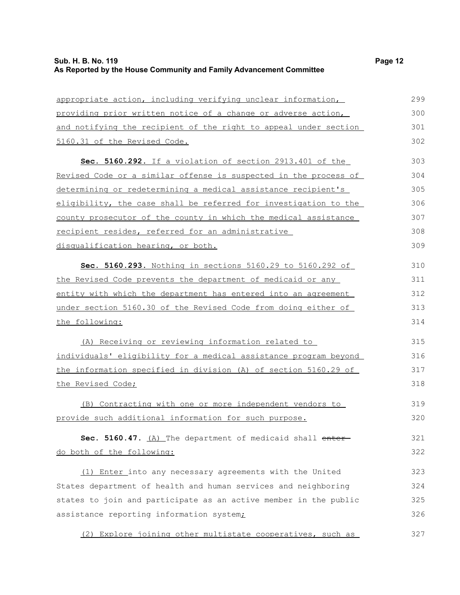| appropriate action, including verifying unclear information,     | 299 |
|------------------------------------------------------------------|-----|
| providing prior written notice of a change or adverse action,    | 300 |
| and notifying the recipient of the right to appeal under section | 301 |
| 5160.31 of the Revised Code.                                     | 302 |
| Sec. 5160.292. If a violation of section 2913.401 of the         | 303 |
| Revised Code or a similar offense is suspected in the process of | 304 |
| determining or redetermining a medical assistance recipient's    | 305 |
| eligibility, the case shall be referred for investigation to the | 306 |
| county prosecutor of the county in which the medical assistance  | 307 |
| recipient resides, referred for an administrative                | 308 |
| disqualification hearing, or both.                               | 309 |
| Sec. 5160.293. Nothing in sections 5160.29 to 5160.292 of        | 310 |
| the Revised Code prevents the department of medicaid or any      | 311 |
| entity with which the department has entered into an agreement   | 312 |
| under section 5160.30 of the Revised Code from doing either of   | 313 |
| the following:                                                   | 314 |
| (A) Receiving or reviewing information related to                | 315 |
| individuals' eligibility for a medical assistance program beyond | 316 |
| the information specified in division (A) of section 5160.29 of  | 317 |
| the Revised Code;                                                | 318 |
| (B) Contracting with one or more independent vendors to          | 319 |
| provide such additional information for such purpose.            | 320 |
| Sec. 5160.47. (A) The department of medicaid shall enter-        | 321 |
| do both of the following:                                        | 322 |
| (1) Enter into any necessary agreements with the United          | 323 |
| States department of health and human services and neighboring   | 324 |
| states to join and participate as an active member in the public | 325 |
| assistance reporting information system <sub>i</sub>             | 326 |
| (2) Explore joining other multistate cooperatives, such as       | 327 |